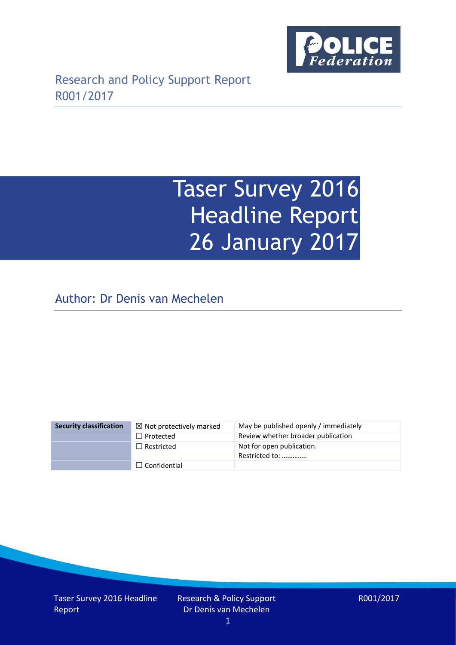

Research and Policy Support Report R001/2017

# Taser Survey 2016 Headline Report 26 January 2017

Author: Dr Denis van Mechelen

| <b>Security classification</b> | $\boxtimes$ Not protectively marked | May be published openly / immediately       |
|--------------------------------|-------------------------------------|---------------------------------------------|
|                                | $\Box$ Protected                    | Review whether broader publication          |
|                                | $\Box$ Restricted                   | Not for open publication.<br>Restricted to: |
|                                | $\Box$ Confidential                 |                                             |

Taser Survey 2016 Headline Report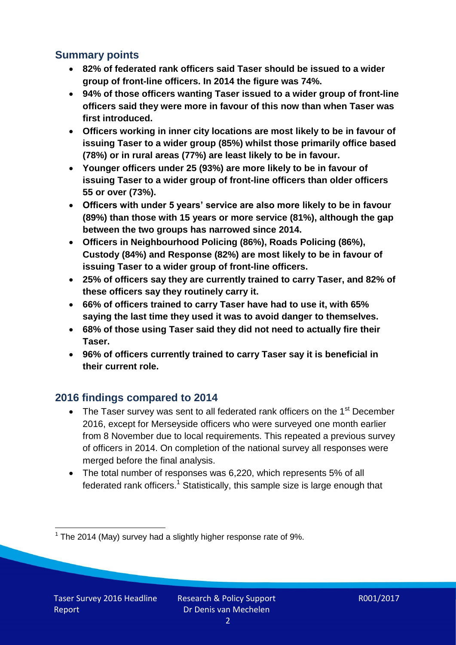## **Summary points**

- **82% of federated rank officers said Taser should be issued to a wider group of front-line officers. In 2014 the figure was 74%.**
- **94% of those officers wanting Taser issued to a wider group of front-line officers said they were more in favour of this now than when Taser was first introduced.**
- **Officers working in inner city locations are most likely to be in favour of issuing Taser to a wider group (85%) whilst those primarily office based (78%) or in rural areas (77%) are least likely to be in favour.**
- **Younger officers under 25 (93%) are more likely to be in favour of issuing Taser to a wider group of front-line officers than older officers 55 or over (73%).**
- **Officers with under 5 years' service are also more likely to be in favour (89%) than those with 15 years or more service (81%), although the gap between the two groups has narrowed since 2014.**
- **Officers in Neighbourhood Policing (86%), Roads Policing (86%), Custody (84%) and Response (82%) are most likely to be in favour of issuing Taser to a wider group of front-line officers.**
- **25% of officers say they are currently trained to carry Taser, and 82% of these officers say they routinely carry it.**
- **66% of officers trained to carry Taser have had to use it, with 65% saying the last time they used it was to avoid danger to themselves.**
- **68% of those using Taser said they did not need to actually fire their Taser.**
- **96% of officers currently trained to carry Taser say it is beneficial in their current role.**

### **2016 findings compared to 2014**

- The Taser survey was sent to all federated rank officers on the 1<sup>st</sup> December 2016, except for Merseyside officers who were surveyed one month earlier from 8 November due to local requirements. This repeated a previous survey of officers in 2014. On completion of the national survey all responses were merged before the final analysis.
- The total number of responses was 6,220, which represents 5% of all federated rank officers.<sup>1</sup> Statistically, this sample size is large enough that

<sup>-</sup> $1$  The 2014 (May) survey had a slightly higher response rate of 9%.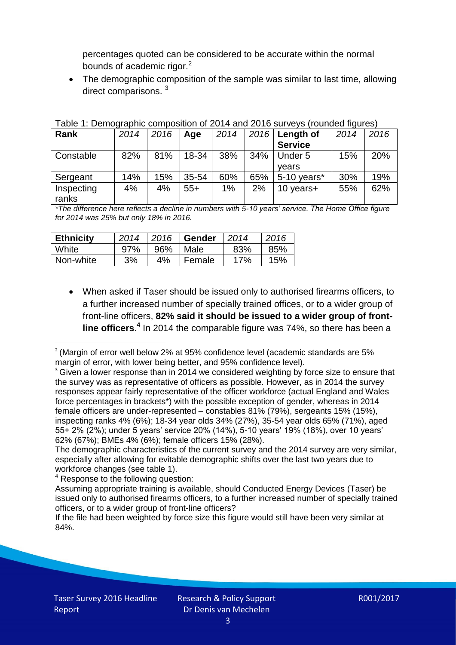percentages quoted can be considered to be accurate within the normal bounds of academic rigor. $2$ 

• The demographic composition of the sample was similar to last time, allowing direct comparisons.<sup>3</sup>

| 2014 | 2016 | Age   | 2014 |     | Length of      | 2014 | 2016 |  |
|------|------|-------|------|-----|----------------|------|------|--|
|      |      |       |      |     | <b>Service</b> |      |      |  |
| 82%  | 81%  | 18-34 | 38%  | 34% | Under 5        | 15%  | 20%  |  |
|      |      |       |      |     | vears          |      |      |  |
| 14%  | 15%  | 35-54 | 60%  | 65% | $5-10$ years*  | 30%  | 19%  |  |
| 4%   | 4%   | $55+$ | 1%   | 2%  | 10 years+      | 55%  | 62%  |  |
|      |      |       |      |     |                | 2016 |      |  |

Table 1: Demographic composition of 2014 and 2016 surveys (rounded figures)

*\*The difference here reflects a decline in numbers with 5-10 years' service. The Home Office figure for 2014 was 25% but only 18% in 2016.*

| <b>Ethnicity</b> | 2014 | 2016 | Gender | 2014 | 2016 |
|------------------|------|------|--------|------|------|
| White            | 97%  | 96%  | Male   | 83%  | 85%  |
| Non-white        | 3%   | 4%   | Female | 17%  | 15%  |

 When asked if Taser should be issued only to authorised firearms officers, to a further increased number of specially trained offices, or to a wider group of front-line officers, **82% said it should be issued to a wider group of front**line officers.<sup>4</sup> In 2014 the comparable figure was 74%, so there has been a

<sup>4</sup> Response to the following question:

<sup>-</sup> $2$  (Margin of error well below 2% at 95% confidence level (academic standards are 5% margin of error, with lower being better, and 95% confidence level).

 $3$  Given a lower response than in 2014 we considered weighting by force size to ensure that the survey was as representative of officers as possible. However, as in 2014 the survey responses appear fairly representative of the officer workforce (actual England and Wales force percentages in brackets\*) with the possible exception of gender, whereas in 2014 female officers are under-represented – constables 81% (79%), sergeants 15% (15%), inspecting ranks 4% (6%); 18-34 year olds 34% (27%), 35-54 year olds 65% (71%), aged 55+ 2% (2%); under 5 years' service 20% (14%), 5-10 years' 19% (18%), over 10 years' 62% (67%); BMEs 4% (6%); female officers 15% (28%).

The demographic characteristics of the current survey and the 2014 survey are very similar, especially after allowing for evitable demographic shifts over the last two years due to workforce changes (see table 1).

Assuming appropriate training is available, should Conducted Energy Devices (Taser) be issued only to authorised firearms officers, to a further increased number of specially trained officers, or to a wider group of front-line officers?

If the file had been weighted by force size this figure would still have been very similar at 84%.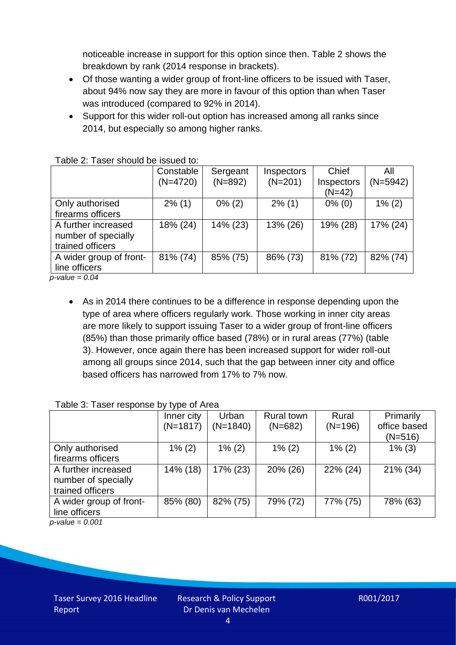noticeable increase in support for this option since then. Table 2 shows the breakdown by rank (2014 response in brackets).

- Of those wanting a wider group of front-line officers to be issued with Taser, about 94% now say they are more in favour of this option than when Taser was introduced (compared to 92% in 2014).
- Support for this wider roll-out option has increased among all ranks since 2014, but especially so among higher ranks.

|                         | Constable  | Sergeant  | Inspectors | Chief                  | All        |
|-------------------------|------------|-----------|------------|------------------------|------------|
|                         | $(N=4720)$ | $(N=892)$ | $(N=201)$  | Inspectors<br>$(N=42)$ | $(N=5942)$ |
| Only authorised         | $2\%$ (1)  | $0\%$ (2) | $2\%$ (1)  | $0\%$ (0)              | $1\%$ (2)  |
| firearms officers       |            |           |            |                        |            |
| A further increased     | 18% (24)   | 14% (23)  | 13% (26)   | 19% (28)               | 17% (24)   |
| number of specially     |            |           |            |                        |            |
| trained officers        |            |           |            |                        |            |
| A wider group of front- | 81% (74)   | 85% (75)  | 86% (73)   | 81% (72)               | 82% (74)   |
| line officers           |            |           |            |                        |            |
| $p$ -value = 0.04       |            |           |            |                        |            |

Table 2: Taser should be issued to:

 As in 2014 there continues to be a difference in response depending upon the type of area where officers regularly work. Those working in inner city areas are more likely to support issuing Taser to a wider group of front-line officers (85%) than those primarily office based (78%) or in rural areas (77%) (table 3). However, once again there has been increased support for wider roll-out among all groups since 2014, such that the gap between inner city and office based officers has narrowed from 17% to 7% now.

#### Table 3: Taser response by type of Area

|                                        | Inner city | Urban      | <b>Rural town</b> | Rural     | Primarily    |
|----------------------------------------|------------|------------|-------------------|-----------|--------------|
|                                        | $(N=1817)$ | $(N=1840)$ | $(N=682)$         | $(N=196)$ | office based |
|                                        |            |            |                   |           | $(N=516)$    |
| Only authorised                        | $1\%$ (2)  | $1\%$ (2)  | $1\%$ (2)         | $1\%$ (2) | $1\%$ (3)    |
| firearms officers                      |            |            |                   |           |              |
| A further increased                    | 14% (18)   | 17% (23)   | 20% (26)          | 22% (24)  | 21% (34)     |
| number of specially                    |            |            |                   |           |              |
| trained officers                       |            |            |                   |           |              |
| A wider group of front-                | 85% (80)   | 82% (75)   | 79% (72)          | 77% (75)  | 78% (63)     |
| line officers                          |            |            |                   |           |              |
| $\mathbf{1}$ $\mathbf{0}$ $\mathbf{0}$ |            |            |                   |           |              |

*p-value = 0.001*

Taser Survey 2016 Headline Report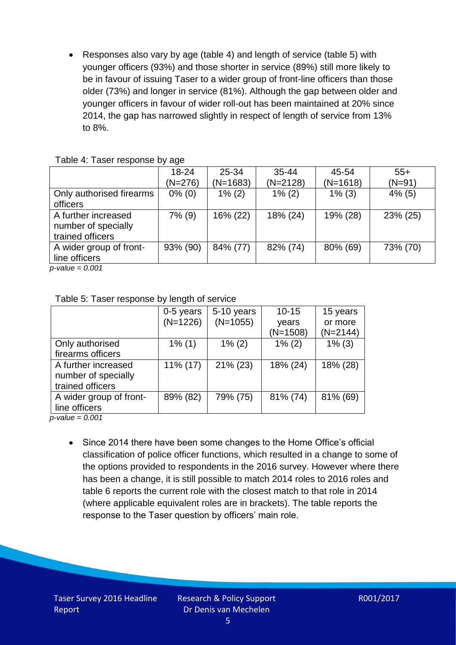Responses also vary by age (table 4) and length of service (table 5) with younger officers (93%) and those shorter in service (89%) still more likely to be in favour of issuing Taser to a wider group of front-line officers than those older (73%) and longer in service (81%). Although the gap between older and younger officers in favour of wider roll-out has been maintained at 20% since 2014, the gap has narrowed slightly in respect of length of service from 13% to 8%.

| $18 - 24$ | $25 - 34$  | $35 - 44$  | 45-54      | $55+$     |
|-----------|------------|------------|------------|-----------|
| (N=276)   | $(N=1683)$ | $(N=2128)$ | $(N=1618)$ | $(N=91)$  |
| $0\%$ (0) | $1\%$ (2)  | $1\%$ (2)  | $1\%$ (3)  | $4\%$ (5) |
|           |            |            |            |           |
| $7\%$ (9) | 16% (22)   | 18% (24)   | 19% (28)   | 23% (25)  |
|           |            |            |            |           |
|           |            |            |            |           |
| 93% (90)  | 84% (77)   | 82% (74)   | 80% (69)   | 73% (70)  |
|           |            |            |            |           |
|           |            |            |            |           |

*p-value = 0.001*

| Table 5: Taser response by length of service |  |
|----------------------------------------------|--|
|----------------------------------------------|--|

| 0-5 years   | 5-10 years  | $10 - 15$  | 15 years  |
|-------------|-------------|------------|-----------|
|             |             | years      | or more   |
|             |             | $(N=1508)$ | (N=2144)  |
| $1\%$ (1)   | $1\%$ (2)   | $1\%$ (2)  | $1\%$ (3) |
|             |             |            |           |
| $11\%$ (17) | $21\%$ (23) | 18% (24)   | 18% (28)  |
|             |             |            |           |
|             |             |            |           |
| 89% (82)    | 79% (75)    | 81% (74)   | 81% (69)  |
|             |             |            |           |
|             | $(N=1226)$  | $(N=1055)$ |           |

*p-value = 0.001*

• Since 2014 there have been some changes to the Home Office's official classification of police officer functions, which resulted in a change to some of the options provided to respondents in the 2016 survey. However where there has been a change, it is still possible to match 2014 roles to 2016 roles and table 6 reports the current role with the closest match to that role in 2014 (where applicable equivalent roles are in brackets). The table reports the response to the Taser question by officers' main role.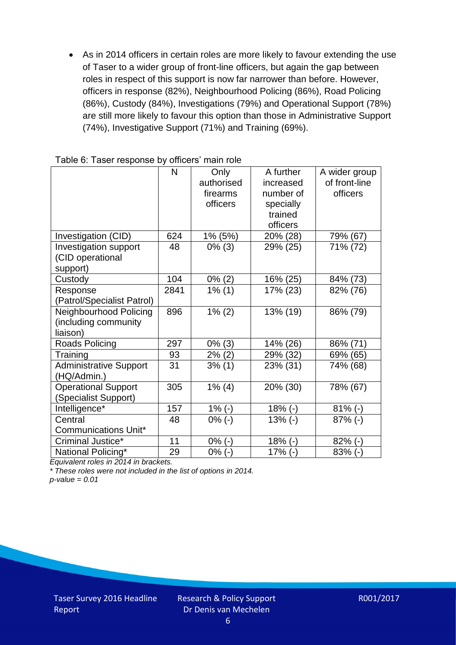As in 2014 officers in certain roles are more likely to favour extending the use of Taser to a wider group of front-line officers, but again the gap between roles in respect of this support is now far narrower than before. However, officers in response (82%), Neighbourhood Policing (86%), Road Policing (86%), Custody (84%), Investigations (79%) and Operational Support (78%) are still more likely to favour this option than those in Administrative Support (74%), Investigative Support (71%) and Training (69%).

|                               | $\mathsf{N}$ | Only       | A further | A wider group |
|-------------------------------|--------------|------------|-----------|---------------|
|                               |              | authorised | increased | of front-line |
|                               |              | firearms   | number of | officers      |
|                               |              | officers   | specially |               |
|                               |              |            | trained   |               |
|                               |              |            | officers  |               |
| Investigation (CID)           | 624          | 1% (5%)    | 20% (28)  | 79% (67)      |
| Investigation support         | 48           | $0\%$ (3)  | 29% (25)  | 71% (72)      |
| (CID operational              |              |            |           |               |
| support)                      |              |            |           |               |
| Custody                       | 104          | $0\%$ (2)  | 16% (25)  | 84% (73)      |
| Response                      | 2841         | $1\%$ (1)  | 17% (23)  | 82% (76)      |
| (Patrol/Specialist Patrol)    |              |            |           |               |
| Neighbourhood Policing        | 896          | $1\% (2)$  | 13% (19)  | 86% (79)      |
| (including community          |              |            |           |               |
| liaison)                      |              |            |           |               |
| Roads Policing                | 297          | $0\%$ (3)  | 14% (26)  | 86% (71)      |
| Training                      | 93           | $2\%$ (2)  | 29% (32)  | 69% (65)      |
| <b>Administrative Support</b> | 31           | 3% (1)     | 23% (31)  | 74% (68)      |
| (HQ/Admin.)                   |              |            |           |               |
| <b>Operational Support</b>    | 305          | $1\%$ (4)  | 20% (30)  | 78% (67)      |
| (Specialist Support)          |              |            |           |               |
| Intelligence*                 | 157          | $1\%$ (-)  | $18% (-)$ | $81\%$ (-)    |
| Central                       | 48           | $0\%$ (-)  | $13% (-)$ | $87%$ (-)     |
| <b>Communications Unit*</b>   |              |            |           |               |
| Criminal Justice*             | 11           | $0\%$ (-)  | $18% (-)$ | $82\%$ (-)    |
| National Policing*            | 29           | $0\%$ (-)  | $17%$ (-) | $83%$ (-)     |

*Equivalent roles in 2014 in brackets.*

*\* These roles were not included in the list of options in 2014.*

*p-value = 0.01*